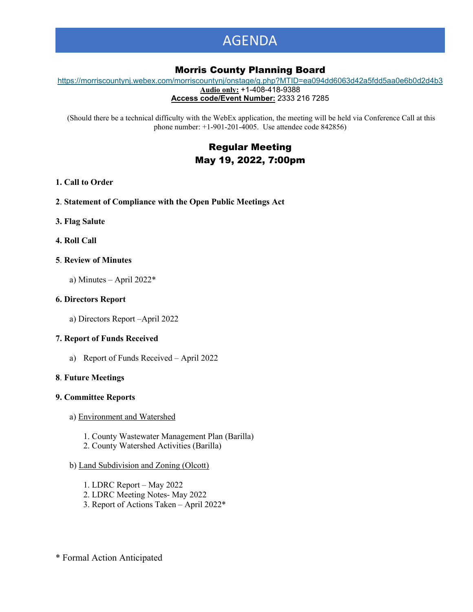# AGENDA

### Morris County Planning Board

[https://morriscountynj.webex.com/morriscountynj/onstage/g.php?MTID=ea094dd6063d42a5fdd5aa0e6b0d2d4b3](https://gcc02.safelinks.protection.outlook.com/?url=https%3A%2F%2Fmorriscountynj.webex.com%2Fmorriscountynj%2Fonstage%2Fg.php%3FMTID%3Dea094dd6063d42a5fdd5aa0e6b0d2d4b3&data=05%7C01%7Cvmichelin%40co.morris.nj.us%7C92eb8821a0134b18773d08da2c457ac6%7Cec2ce8c138394008b949e2b17cfa906d%7C0%7C0%7C637870974176647757%7CUnknown%7CTWFpbGZsb3d8eyJWIjoiMC4wLjAwMDAiLCJQIjoiV2luMzIiLCJBTiI6Ik1haWwiLCJXVCI6Mn0%3D%7C1000%7C%7C%7C&sdata=UmDypUVMkY1dDwi2uTFYUylN%2FlDjoJsh2t21wb6dFoA%3D&reserved=0) **Audio only:** +1-408-418-9388

**Access code/Event Number:** 2333 216 7285

(Should there be a technical difficulty with the WebEx application, the meeting will be held via Conference Call at this phone number: +1-901-201-4005. Use attendee code 842856)

### Regular Meeting May 19, 2022, 7:00pm

#### **1. Call to Order**

- **2**. **Statement of Compliance with the Open Public Meetings Act**
- **3. Flag Salute**
- **4. Roll Call**
- **5**. **Review of Minutes**
	- a) Minutes April 2022\*

#### **6. Directors Report**

a) Directors Report –April 2022

#### **7. Report of Funds Received**

a) Report of Funds Received – April 2022

#### **8**. **Future Meetings**

#### **9. Committee Reports**

- a) Environment and Watershed
	- 1. County Wastewater Management Plan (Barilla)
	- 2. County Watershed Activities (Barilla)

#### b) Land Subdivision and Zoning (Olcott)

- 1. LDRC Report May 2022
- 2. LDRC Meeting Notes- May 2022
- 3. Report of Actions Taken April 2022\*

\* Formal Action Anticipated